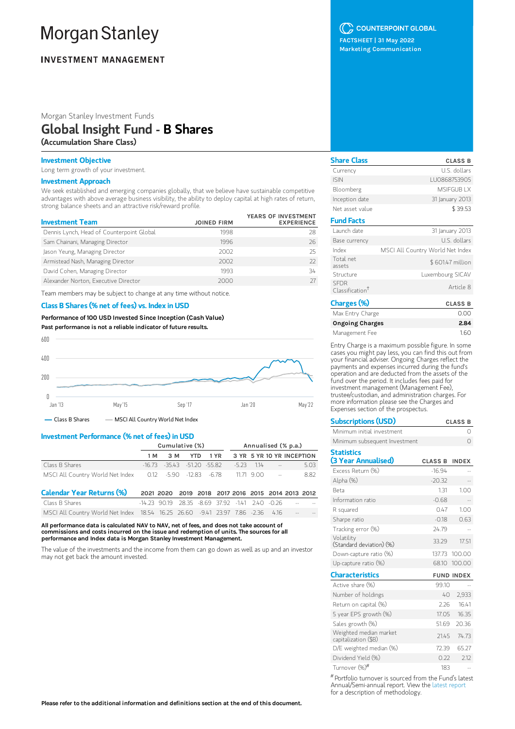# **Morgan Stanley**

## **INVESTMENT MANAGEMENT**

Morgan Stanley Investment Funds

## Global Insight Fund - B Shares

(Accumulation Share Class)

## Investment Objective

Long term growth of your investment.

## Investment Approach

We seek established and emerging companies globally, that we believe have sustainable competitive advantages with above average business visibility, the ability to deploy capital at high rates of return, strong balance sheets and an attractive risk/reward profile.

| <b>Investment Team</b>                    | <b>JOINED FIRM</b> | YEARS OF INVESTMENT<br><b>EXPERIENCE</b> |
|-------------------------------------------|--------------------|------------------------------------------|
| Dennis Lynch, Head of Counterpoint Global | 1998               | 28                                       |
| Sam Chainani, Managing Director           | 1996               | 26                                       |
| Jason Yeung, Managing Director            | 2002               | 25                                       |
| Armistead Nash, Managing Director         | 2002               | 77                                       |
| David Cohen, Managing Director            | 1993               | 34                                       |
| Alexander Norton, Executive Director      | 2000               |                                          |

Team members may be subject to change at any time without notice.

#### Class B Shares (% net of fees) vs. Index in USD

Performance of100 USD Invested Since Inception (Cash Value) Past performance is not a reliable indicator of future results.



#### Investment Performance (% net of fees) in USD

|                                                                                | Cumulative (%) |     |                                 |            |                                                   |         | Annualised (% p.a.) |                           |      |
|--------------------------------------------------------------------------------|----------------|-----|---------------------------------|------------|---------------------------------------------------|---------|---------------------|---------------------------|------|
|                                                                                | 1 M            | 3 M |                                 | <b>YTD</b> | 1 YR                                              |         |                     | 3 YR 5 YR 10 YR INCEPTION |      |
| Class B Shares                                                                 |                |     | $-16.73 - 3543 - 51.20 - 55.82$ |            |                                                   | $-5.23$ | 114                 | <b>Contract Contract</b>  | 5.03 |
| MSCI All Country World Net Index 0.12 -5.90 -12.83 -6.78                       |                |     |                                 |            |                                                   |         |                     | $11.71$ $9.00$ $-$        | 8.82 |
| <b>Calendar Year Returns (%)</b>                                               |                |     |                                 |            | 2021 2020 2019 2018 2017 2016 2015 2014 2013 2012 |         |                     |                           |      |
| Class B Shares                                                                 | $-14$ 23 9019  |     |                                 |            | 28.35 -8.69 37.92 -141 240 -0.26                  |         |                     |                           |      |
| MSCI All Country World Net Index 18.54 16.25 26.60 -9.41 23.97 7.86 -2.36 4.16 |                |     |                                 |            |                                                   |         |                     |                           |      |

All performance data is calculated NAV to NAV, net of fees, and does not take account of commissions and costs incurred on the issue and redemption of units. The sources for all performance and Index data is Morgan Stanley Investment Management.

The value of the investments and the income from them can go down as well as up and an investor may not get back the amount invested.

## C COUNTERPOINT GLOBAL

FACTSHEET | 31 May 2022 Marketing Communication

| <b>Share Class</b>                         | <b>CLASS B</b>                   |
|--------------------------------------------|----------------------------------|
| Currency                                   | U.S. dollars                     |
| <b>ISIN</b>                                | LU0868753905                     |
| Bloomberg                                  | MSIFGUB I X                      |
| Inception date                             | 31 January 2013                  |
| Net asset value                            | \$39.53                          |
| <b>Fund Facts</b>                          |                                  |
| Launch date                                | 31 January 2013                  |
| Base currency                              | U.S. dollars                     |
| Index                                      | MSCI All Country World Net Index |
| Total net<br>assets                        | \$601.47 million                 |
| Structure                                  | Luxembourg SICAV                 |
| <b>SEDR</b><br>Classification <sup>†</sup> | Article 8                        |
| Charges (%)                                | <b>CLASS B</b>                   |
| Max Entry Charge                           | n nr                             |

| Max Entry Charge | 0.00 |
|------------------|------|
| Ongoing Charges  | 2.84 |
| Management Fee   | 1.60 |

Entry Charge is a maximum possible figure. In some cases you might pay less, you can find this out from your financial adviser. Ongoing Charges reflect the payments and expenses incurred during the fund's operation and are deducted from the assets of the fund over the period. It includes fees paid for investment management (Management Fee), trustee/custodian, and administration charges. For more information please see the Charges and Expenses section of the prospectus.

| <b>Subscriptions (USD)</b>    | <b>CLASS B</b> |
|-------------------------------|----------------|
| Minimum initial investment    |                |
| Minimum subsequent Investment |                |

| <b>Statistics</b>                              |                |                   |
|------------------------------------------------|----------------|-------------------|
| (3 Year Annualised)                            | <b>CLASS B</b> | <b>INDEX</b>      |
| Excess Return (%)                              | $-16.94$       |                   |
| Alpha (%)                                      | $-20.32$       |                   |
| <b>Beta</b>                                    | 1.31           | 1.00              |
| Information ratio                              | $-0.68$        |                   |
| R squared                                      | 0.47           | 1.00              |
| Sharpe ratio                                   | $-0.18$        | 0.63              |
| Tracking error (%)                             | 24.79          |                   |
| Volatility<br>(Standard deviation) (%)         | 33.29          | 1751              |
| Down-capture ratio (%)                         | 137.73         | 100.00            |
| Up-capture ratio $(\%)$                        | 68.10          | 100.00            |
| <b>Characteristics</b>                         |                | <b>FUND INDEX</b> |
| Active share (%)                               | 99.10          |                   |
| Number of holdings                             | 40             | 2,933             |
| Return on capital (%)                          | 2.26           | 16.41             |
| 5 year EPS growth (%)                          | 17.05          | 16.35             |
| Sales growth (%)                               | 51.69          | 20.36             |
| Weighted median market<br>capitalization (\$B) | 21.45          | 74.73             |
| D/E weighted median (%)                        | 72.39          | 65.27             |
| Dividend Yield (%)                             | 0.22           | 2.12              |
| Turnover (%) <sup>#</sup>                      | 183            |                   |

Portfolio turnover is sourced from the Fund's latest #Annual/Semi-annual report. View the latest [report](https://www.morganstanley.com/im/msinvf/index.html) for a description of methodology.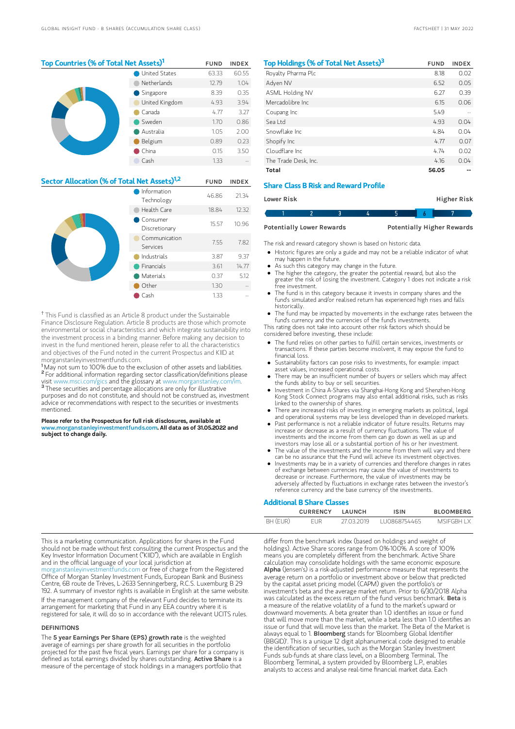## Top Countries (% of Total Net Assets)<sup>1</sup> FUND INDEX

| <b>United States</b> |                | 63.33 | 60.55 |
|----------------------|----------------|-------|-------|
|                      | Netherlands    | 12.79 | 1.04  |
|                      | Singapore<br>O | 8.39  | 0.35  |
|                      | United Kingdom | 4.93  | 3.94  |
|                      | Canada         | 4.77  | 3.27  |
|                      | Sweden         | 1.70  | 0.86  |
|                      | Australia      | 1.05  | 2.00  |
|                      | Belgium        | 0.89  | 0.23  |
|                      | China          | 0.15  | 3.50  |
|                      | Cash           | 1.33  |       |

| Sector Allocation (% of Total Net Assets) <sup>1,2</sup> |                           |       | <b>INDEX</b> |
|----------------------------------------------------------|---------------------------|-------|--------------|
|                                                          | Information<br>Technology | 46.86 | 21.34        |
|                                                          | Health Care               | 18.84 | 12.32        |
|                                                          | Consumer<br>Discretionary | 15.57 | 10.96        |
|                                                          | Communication<br>Services | 7.55  | 7.82         |
|                                                          | Industrials               | 3.87  | 9.37         |
|                                                          | Financials                | 3.61  | 14.77        |
|                                                          | Materials                 | 0.37  | 5.12         |
|                                                          | Other                     | 1.30  |              |
|                                                          | Cash                      | 1.33  |              |

<sup>†</sup> This Fund is classified as an Article 8 product under the Sustainable Finance Disclosure Regulation. Article 8 products are those which promote environmental or social characteristics and which integrate sustainability into the investment process in a binding manner. Before making any decision to invest in the fund mentioned herein, please refer to all the characteristics and objectives of the Fund noted in the current Prospectus and KIID at morganstanleyinvestmentfunds.com.

<sup>1</sup>May not sum to 100% due to the exclusion of other assets and liabilities. <sup>2</sup> For additional information regarding sector classification/definitions please visit www.msci.com/gics and the glossary at www.morganstanley.com/im. <sup>3</sup> These securities and percentage allocations are only for illustrative purposes and do not constitute, and should not be construed as, investment advice or recommendations with respect to the securities or investments mentioned.

#### Please refer to the Prospectus for full risk disclosures, available at w.morganstanleyinvestmentfunds.com. All data as of 31.05.2022 and subject to change daily.

| Top Holdings (% of Total Net Assets) <sup>3</sup> | <b>FUND</b> | <b>INDEX</b> |
|---------------------------------------------------|-------------|--------------|
| Royalty Pharma Plc                                | 8.18        | 0.02         |
| Adven NV                                          | 6.52        | 0.05         |
| ASML Holding NV                                   | 6.27        | 0.39         |
| Mercadolibre Inc.                                 | 6.15        | 0.06         |
| Coupang Inc                                       | 549         |              |
| Sealtd                                            | 4.93        | 0.04         |
| Snowflake Inc.                                    | 4.84        | 0.04         |
| Shopify Inc                                       | 4.77        | 0.07         |
| Cloudflare Inc.                                   | 4.74        | 0.02         |
| The Trade Desk, Inc.                              | 4.16        | 0.04         |
| Total                                             | 56.05       |              |

## Share Class B Risk and Reward Profile

| Lower Risk |  |  | Higher Risk |  |
|------------|--|--|-------------|--|
|            |  |  |             |  |

Potentially Lower Rewards Potentially Higher Rewards

The risk and reward category shown is based on historic data.

- Historic figures are only a guide and may not be a reliable indicator of what may happen in the future.
- As such this category may change in the future.
- $\bullet$ The higher the category, the greater the potential reward, but also the greater the risk of losing the investment. Category 1 does not indicate a risk free investment.
- The fund is in this category because it invests in company shares and the fund's simulated and/or realised return has experienced high rises and falls historically.
- The fund may be impacted by movements in the exchange rates between the fund's currency and the currencies of the fund's investments.

This rating does not take into account other risk factors which should be considered before investing, these include:

- The fund relies on other parties to fulfill certain services, investments or transactions. If these parties become insolvent, it may expose the fund to financial loss.
- Sustainability factors can pose risks to investments, for example: impact asset values, increased operational costs.
- There may be an insufficient number of buyers or sellers which may affect the funds ability to buy or sell securities.
- Investment in China A-Shares via Shanghai-Hong Kong and Shenzhen-Hong Kong Stock Connect programs may also entail additional risks, such as risks linked to the ownership of shares.
- There are increased risks of investing in emerging markets as political, legal and operational systems may be less developed than in developed markets.
- Past performance is not a reliable indicator of future results. Returns may increase or decrease as a result of currency fluctuations. The value of investments and the income from them can go down as well as up and
- investors may lose all or a substantial portion of his or her investment. The value of the investments and the income from them will vary and there can be no assurance that the Fund will achieve its investment objectives.
- Investments may be in a variety of currencies and therefore changes in rates of exchange between currencies may cause the value of investments to decrease or increase. Furthermore, the value of investments may be adversely affected by fluctuations in exchange rates between the investor's reference currency and the base currency of the investments.

#### Additional B Share Classes

|          | <b>CURRENCY</b> | <b>I AUNCH</b> | ISIN         | <b>BLOOMBERG</b> |
|----------|-----------------|----------------|--------------|------------------|
| BH (EUR) | FUR             | 27 03 2019     | LU0868754465 | MSIEGRH I X      |

This is a marketing communication. Applications for shares in the Fund should not be made without first consulting the current Prospectus and the Key Investor Information Document ("KIID"), which are available in English and in the official language of your local jurisdiction at

[morganstanleyinvestmentfunds.com](https://www.morganstanley.com/im/msinvf/index.html) or free of charge from the Registered Office of Morgan Stanley Investment Funds, European Bank and Business Centre, 6B route de Trèves, L-2633 Senningerberg, R.C.S. Luxemburg B 29 192. A summary of investor rights is available in English at the same website.

If the management company of the relevant Fund decides to terminate its arrangement for marketing that Fund in any EEA country where it is registered for sale, it will do so in accordance with the relevant UCITS rules.

#### **DEFINITIONS**

The 5 year Earnings Per Share (EPS) growth rate is the weighted average of earnings per share growth for all securities in the portfolio projected for the past five fiscal years. Earnings per share for a company is defined as total earnings divided by shares outstanding. Active Share is a measure of the percentage of stock holdings in a managers portfolio that

differ from the benchmark index (based on holdings and weight of holdings). Active Share scores range from 0%-100%. A score of 100% means you are completely different from the benchmark. Active Share calculation may consolidate holdings with the same economic exposure. Alpha (Jensen's) is a risk-adjusted performance measure that represents the average return on a portfolio or investment above or below that predicted by the capital asset pricing model (CAPM) given the portfolio's or investment's beta and the average market return. Prior to 6/30/2018 Alpha was calculated as the excess return of the fund versus benchmark. Beta is a measure of the relative volatility of a fund to the market's upward or downward movements. A beta greater than 1.0 identifies an issue or fund that will move more than the market, while a beta less than 1.0 identifies an issue or fund that will move less than the market. The Beta of the Market is always equal to 1. **Bloomberg** stands for 'Bloomberg Global Identifier (BBGID)'. This is a unique 12 digit alphanumerical code designed to enable the identification of securities, such as the Morgan Stanley Investment Funds sub-funds at share class level, on a Bloomberg Terminal. The Bloomberg Terminal, a system provided by Bloomberg L.P., enables analysts to access and analyse real-time financial market data. Each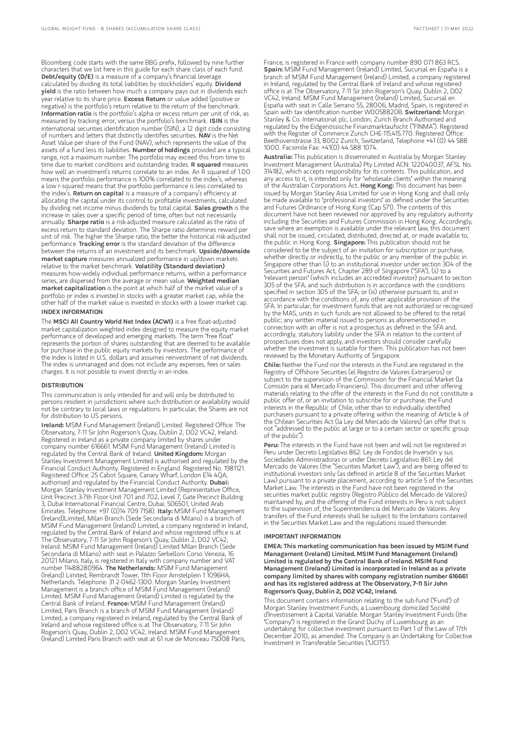Bloomberg code starts with the same BBG prefix, followed by nine further characters that we list here in this guide for each share class of each fund.<br>**Debt/equity (D/E)** is a measure of a company's financial leverage calculated by dividing its total liabilities by stockholders' equity. Dividend yield is the ratio between how much a company pays out in dividends each year relative to its share price. Excess Return or value added (positive or negative) is the portfolio's return relative to the return of the benchmark. Information ratio is the portfolio's alpha or excess return per unit of risk, as measured by tracking error, versus the portfolio's benchmark. ISIN is the international securities identification number (ISIN), a 12 digit code consisting of numbers and letters that distinctly identifies securities. NAV is the Net Asset Value per share of the Fund (NAV), which represents the value of the assets of a fund less its liabilities. Number of holdings provided are a typical range, not a maximum number. The portfolio may exceed this from time to time due to market conditions and outstanding trades. R squared measures how well an investment's returns correlate to an index. An R squared of 1.00 means the portfolio performance is 100% correlated to the index's, whereas a low r-squared means that the portfolio performance is less correlated to the index's. Return on capital is a measure of a company's efficiency at allocating the capital under its control to profitable investments, calculated by dividing net income minus dividends by total capital. Sales growth is the increase in sales over a specific period of time, often but not necessarily annually. Sharpe ratio is a risk-adjusted measure calculated as the ratio of excess return to standard deviation. The Sharpe ratio determines reward per unit of risk. The higher the Sharpe ratio, the better the historical risk-adjusted performance. Tracking error is the standard deviation of the difference between the returns of an investment and its benchmark. Upside/downside market capture measures annualized performance in up/down markets relative to the market benchmark. Volatility (Standard deviation) measures how widely individual performance returns, within a performance series, are dispersed from the average or mean value. Weighted median market capitalization is the point at which half of the market value of a portfolio or index is invested in stocks with a greater market cap, while the other half of the market value is invested in stocks with a lower market cap.

#### INDEX INFORMATION

The MSCI All Country World Net Index (ACWI) is a free float-adjusted market capitalization weighted index designed to measure the equity market performance of developed and emerging markets. The term "free float" represents the portion of shares outstanding that are deemed to be available for purchase in the public equity markets by investors. The performance of the Index is listed in U.S. dollars and assumes reinvestment of net dividends. The index is unmanaged and does not include any expenses, fees or sales charges. It is not possible to invest directly in an index.

#### **DISTRIBUTION**

This communication is only intended for and will only be distributed to persons resident in jurisdictions where such distribution or availability would not be contrary to local laws or regulations. In particular, the Shares are not for distribution to US persons.

Ireland: MSIM Fund Management (Ireland) Limited. Registered Office: The Observatory, 7-11 Sir John Rogerson's Quay, Dublin 2, D02 VC42, Ireland. Registered in Ireland as a private company limited by shares under company number 616661. MSIM Fund Management (Ireland) Limited is regulated by the Central Bank of Ireland. United Kingdom: Morgan Stanley Investment Management Limited is authorised and regulated by the Financial Conduct Authority. Registered in England. Registered No. 1981121. Registered Office: 25 Cabot Square, Canary Wharf, London E14 4QA, authorised and regulated by the Financial Conduct Authority. Dubai: Morgan Stanley Investment Management Limited (Representative Office, Unit Precinct 3-7th Floor-Unit 701 and 702, Level 7, Gate Precinct Building 3, Dubai International Financial Centre, Dubai, 506501, United Arab Emirates. Telephone: +97 (0)14 709 7158). **Italy:** MSIM Fund Management (Ireland)Limited, Milan Branch (Sede Secondaria di Milano) is a branch of MSIM Fund Management (Ireland) Limited, a company registered in Ireland, regulated by the Central Bank of Ireland and whose registered office is at The Observatory, 7-11 Sir John Rogerson's Quay, Dublin 2, D02 VC42, Ireland. MSIM Fund Management (Ireland) Limited Milan Branch (Sede Secondaria di Milano) with seat in Palazzo Serbelloni Corso Venezia, 16 20121 Milano, Italy, is registered in Italy with company number and VAT number 11488280964. The Netherlands: MSIM Fund Management (Ireland) Limited, Rembrandt Tower, 11th Floor Amstelplein 1 1096HA, Netherlands. Telephone: 31 2-0462-1300. Morgan Stanley Investment Management is a branch office of MSIM Fund Management (Ireland) Limited. MSIM Fund Management (Ireland) Limited is regulated by the<br>Central Bank of Ireland. **France:** MSIM Fund Management (Ireland) Limited, Paris Branch is a branch of MSIM Fund Management (Ireland) Limited, a company registered in Ireland, regulated by the Central Bank of Ireland and whose registered office is at The Observatory, 7-11 Sir John Rogerson's Quay, Dublin 2, D02 VC42, Ireland. MSIM Fund Management (Ireland) Limited Paris Branch with seat at 61 rue de Monceau 75008 Paris,

France, is registered in France with company number 890 071 863 RCS. Spain: MSIM Fund Management (Ireland) Limited, Sucursal en España is a branch of MSIM Fund Management (Ireland) Limited, a company registered in Ireland, regulated by the Central Bank of Ireland and whose registered office is at The Observatory, 7-11 Sir John Rogerson's Quay, Dublin 2, D02 VC42, Ireland. MSIM Fund Management (Ireland) Limited, Sucursal en España with seat in Calle Serrano 55, 28006, Madrid, Spain, is registered in Spain with tax identification number W0058820B. Switzerland: Morgan Stanley & Co. International plc, London, Zurich Branch Authorised and regulated by the Eidgenössische Finanzmarktaufsicht ("FINMA"). Registered with the Register of Commerce Zurich CHE-115.415.770. Registered Office: Beethovenstrasse 33, 8002 Zurich, Switzerland, Telephone +41 (0) 44 588 1000. Facsimile Fax: +41(0) 44 588 1074.

Australia: This publication is disseminated in Australia by Morgan Stanley Investment Management (Australia) Pty Limited ACN: 122040037, AFSL No. 314182, which accepts responsibility for its contents. This publication, and any access to it, is intended only for "wholesale clients" within the meaning of the Australian Corporations Act. Hong Kong: This document has been issued by Morgan Stanley Asia Limited for use in Hong Kong and shall only be made available to "professional investors" as defined under the Securities and Futures Ordinance of Hong Kong (Cap 571). The contents of this document have not been reviewed nor approved by any regulatory authority including the Securities and Futures Commission in Hong Kong. Accordingly, save where an exemption is available under the relevant law, this document shall not be issued, circulated, distributed, directed at, or made available to, the public in Hong Kong. Singapore: This publication should not be considered to be the subject of an invitation for subscription or purchase, whether directly or indirectly, to the public or any member of the public in Singapore other than (i) to an institutional investor under section 304 of the Securities and Futures Act, Chapter 289 of Singapore ("SFA"), (ii) to a "relevant person" (which includes an accredited investor) pursuant to section 305 of the SFA, and such distribution is in accordance with the conditions specified in section 305 of the SFA; or (iii) otherwise pursuant to, and in accordance with the conditions of, any other applicable provision of the SFA. In particular, for investment funds that are not authorized or recognized by the MAS, units in such funds are not allowed to be offered to the retail public; any written material issued to persons as aforementioned in connection with an offer is not a prospectus as defined in the SFA and, accordingly, statutory liability under the SFA in relation to the content of prospectuses does not apply, and investors should consider carefully whether the investment is suitable for them. This publication has not been reviewed by the Monetary Authority of Singapore.

Chile: Neither the Fund nor the interests in the Fund are registered in the Registry of Offshore Securities (el Registro de Valores Extranjeros) or subject to the supervision of the Commission for the Financial Market (la Comisión para el Mercado Financiero). This document and other offering materials relating to the offer of the interests in the Fund do not constitute a public offer of, or an invitation to subscribe for or purchase, the Fund interests in the Republic of Chile, other than to individually identified purchasers pursuant to a private offering within the meaning of Article 4 of the Chilean Securities Act (la Ley del Mercado de Valores) (an offer that is not "addressed to the public at large or to a certain sector or specific group of the public").

Peru: The interests in the Fund have not been and will not be registered in Peru under Decreto Legislativo 862: Ley de Fondos de Inversión y sus Sociedades Administradoras or under Decreto Legislativo 861: Ley del Mercado de Valores (the "Securities Market Law"), and are being offered to institutional investors only (as defined in article 8 of the Securities Market Law) pursuant to a private placement, according to article 5 of the Securities Market Law. The interests in the Fund have not been registered in the securities market public registry (Registro Público del Mercado de Valores) maintained by, and the offering of the Fund interests in Peru is not subject to the supervision of, the Superintendencia del Mercado de Valores. Any transfers of the Fund interests shall be subject to the limitations contained in the Securities Market Law and the regulations issued thereunder.

#### IMPORTANT INFORMATION

EMEA: This marketing communication has been issued by MSIM Fund Management (Ireland) Limited. MSIM Fund Management (Ireland) Limited is regulated by the Central Bank of Ireland. MSIM Fund Management (Ireland) Limited is incorporated in Ireland as a private company limited by shares with company registration number 616661 and has its registered address at The Observatory, 7-11 Sir John Rogerson's Quay, Dublin 2, D02 VC42, Ireland.

This document contains information relating to the sub-fund ("Fund") of Morgan Stanley Investment Funds, a Luxembourg domiciled Société d'Investissement à Capital Variable. Morgan Stanley Investment Funds (the "Company") is registered in the Grand Duchy of Luxembourg as an undertaking for collective investment pursuant to Part 1 of the Law of 17th December 2010, as amended. The Company is an Undertaking for Collective Investment in Transferable Securities ("UCITS").